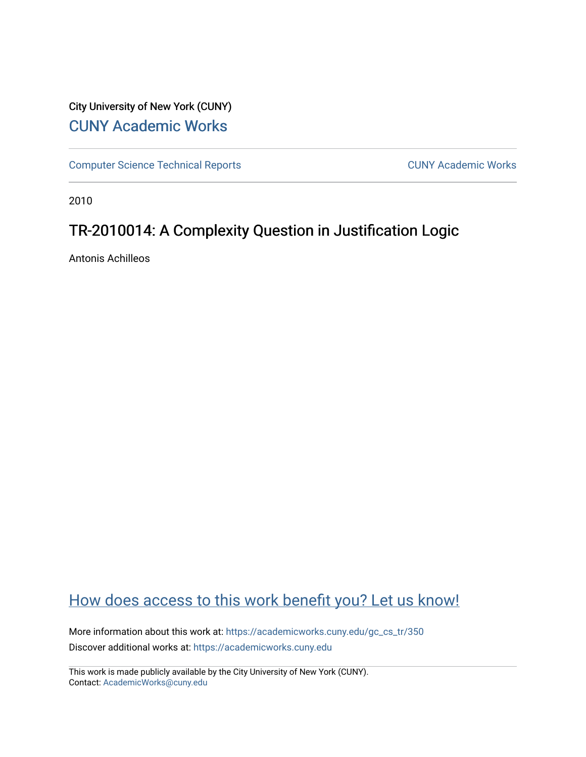# City University of New York (CUNY) [CUNY Academic Works](https://academicworks.cuny.edu/)

[Computer Science Technical Reports](https://academicworks.cuny.edu/gc_cs_tr) **CUNY Academic Works** CUNY Academic Works

2010

# TR-2010014: A Complexity Question in Justification Logic

Antonis Achilleos

# [How does access to this work benefit you? Let us know!](http://ols.cuny.edu/academicworks/?ref=https://academicworks.cuny.edu/gc_cs_tr/350)

More information about this work at: https://academicworks.cuny.edu/gc\_cs\_tr/350 Discover additional works at: [https://academicworks.cuny.edu](https://academicworks.cuny.edu/?)

This work is made publicly available by the City University of New York (CUNY). Contact: [AcademicWorks@cuny.edu](mailto:AcademicWorks@cuny.edu)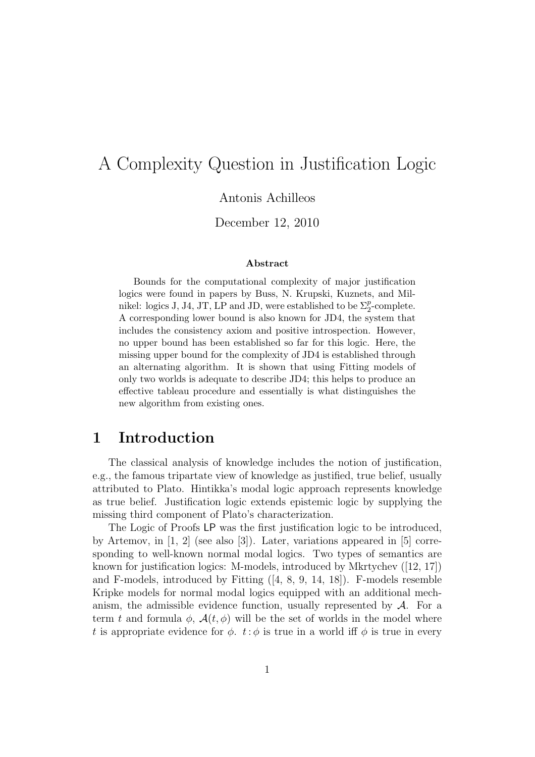# A Complexity Question in Justification Logic

Antonis Achilleos

December 12, 2010

#### Abstract

Bounds for the computational complexity of major justification logics were found in papers by Buss, N. Krupski, Kuznets, and Milnikel: logics J, J4, JT, LP and JD, were established to be  $\Sigma_2^p$ -complete. A corresponding lower bound is also known for JD4, the system that includes the consistency axiom and positive introspection. However, no upper bound has been established so far for this logic. Here, the missing upper bound for the complexity of JD4 is established through an alternating algorithm. It is shown that using Fitting models of only two worlds is adequate to describe JD4; this helps to produce an effective tableau procedure and essentially is what distinguishes the new algorithm from existing ones.

## 1 Introduction

The classical analysis of knowledge includes the notion of justification, e.g., the famous tripartate view of knowledge as justified, true belief, usually attributed to Plato. Hintikka's modal logic approach represents knowledge as true belief. Justification logic extends epistemic logic by supplying the missing third component of Plato's characterization.

The Logic of Proofs LP was the first justification logic to be introduced, by Artemov, in [1, 2] (see also [3]). Later, variations appeared in [5] corresponding to well-known normal modal logics. Two types of semantics are known for justification logics: M-models, introduced by Mkrtychev ([12, 17]) and F-models, introduced by Fitting ([4, 8, 9, 14, 18]). F-models resemble Kripke models for normal modal logics equipped with an additional mechanism, the admissible evidence function, usually represented by  $A$ . For a term t and formula  $\phi$ ,  $\mathcal{A}(t, \phi)$  will be the set of worlds in the model where t is appropriate evidence for  $\phi$ .  $t : \phi$  is true in a world iff  $\phi$  is true in every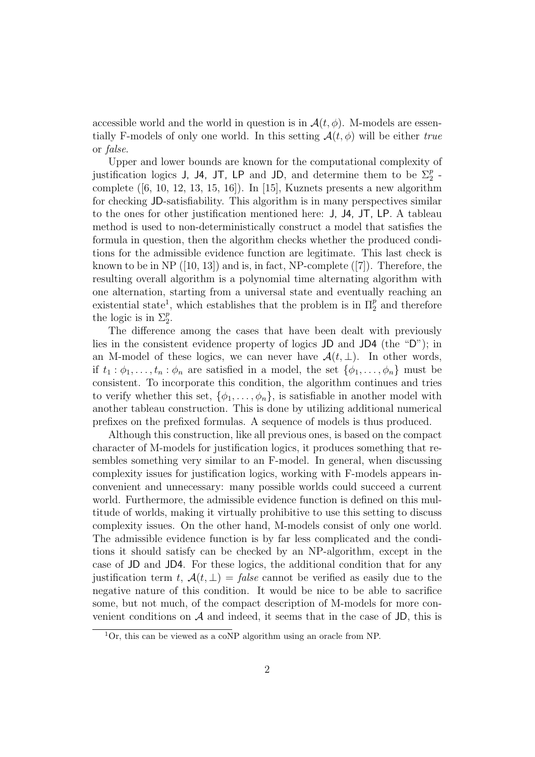accessible world and the world in question is in  $\mathcal{A}(t, \phi)$ . M-models are essentially F-models of only one world. In this setting  $A(t, \phi)$  will be either *true* or *false*.

Upper and lower bounds are known for the computational complexity of justification logics J, J4, JT, LP and JD, and determine them to be  $\Sigma_2^p$ . complete  $([6, 10, 12, 13, 15, 16])$ . In [15], Kuznets presents a new algorithm for checking JD-satisfiability. This algorithm is in many perspectives similar to the ones for other justification mentioned here: J, J4, JT, LP. A tableau method is used to non-deterministically construct a model that satisfies the formula in question, then the algorithm checks whether the produced conditions for the admissible evidence function are legitimate. This last check is known to be in NP  $(10, 13)$  and is, in fact, NP-complete  $(7)$ . Therefore, the resulting overall algorithm is a polynomial time alternating algorithm with one alternation, starting from a universal state and eventually reaching an existential state<sup>1</sup>, which establishes that the problem is in  $\Pi_2^p$  and therefore the logic is in  $\Sigma_2^p$ .

The difference among the cases that have been dealt with previously lies in the consistent evidence property of logics JD and JD4 (the "D"); in an M-model of these logics, we can never have  $\mathcal{A}(t, \perp)$ . In other words, if  $t_1 : \phi_1, \ldots, t_n : \phi_n$  are satisfied in a model, the set  $\{\phi_1, \ldots, \phi_n\}$  must be consistent. To incorporate this condition, the algorithm continues and tries to verify whether this set,  $\{\phi_1, \ldots, \phi_n\}$ , is satisfiable in another model with another tableau construction. This is done by utilizing additional numerical prefixes on the prefixed formulas. A sequence of models is thus produced.

Although this construction, like all previous ones, is based on the compact character of M-models for justification logics, it produces something that resembles something very similar to an F-model. In general, when discussing complexity issues for justification logics, working with F-models appears inconvenient and unnecessary: many possible worlds could succeed a current world. Furthermore, the admissible evidence function is defined on this multitude of worlds, making it virtually prohibitive to use this setting to discuss complexity issues. On the other hand, M-models consist of only one world. The admissible evidence function is by far less complicated and the conditions it should satisfy can be checked by an NP-algorithm, except in the case of JD and JD4. For these logics, the additional condition that for any justification term t,  $\mathcal{A}(t, \perp) = \text{false}$  cannot be verified as easily due to the negative nature of this condition. It would be nice to be able to sacrifice some, but not much, of the compact description of M-models for more convenient conditions on  $A$  and indeed, it seems that in the case of JD, this is

<sup>&</sup>lt;sup>1</sup>Or, this can be viewed as a coNP algorithm using an oracle from NP.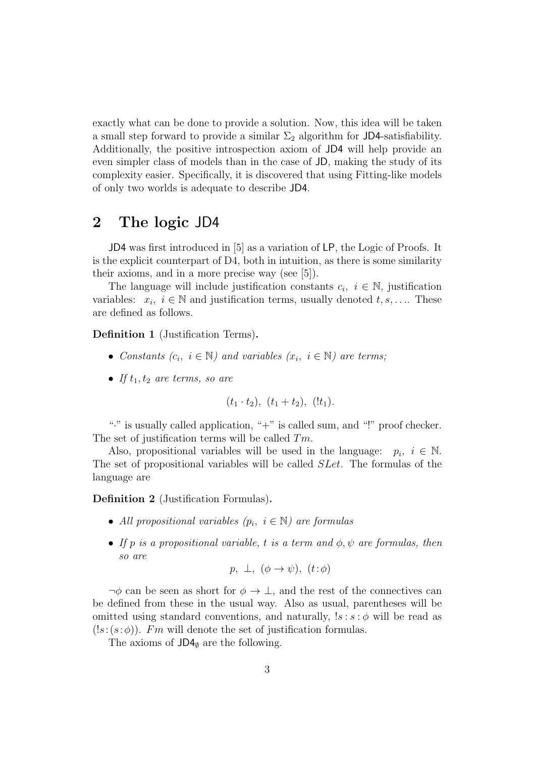exactly what can be done to provide a solution. Now, this idea will be taken a small step forward to provide a similar  $\Sigma_2$  algorithm for JD4-satisfiability. Additionally, the positive introspection axiom of JD4 will help provide an even simpler class of models than in the case of JD, making the study of its complexity easier. Specifically, it is discovered that using Fitting-like models of only two worlds is adequate to describe JD4.

## 2 The logic JD4

JD4 was first introduced in [5] as a variation of LP, the Logic of Proofs. It is the explicit counterpart of D4, both in intuition, as there is some similarity their axioms, and in a more precise way (see [5]).

The language will include justification constants  $c_i, i \in \mathbb{N}$ , justification variables:  $x_i, i \in \mathbb{N}$  and justification terms, usually denoted  $t, s, \ldots$ . These are defined as follows.

Definition 1 (Justification Terms).

- *Constants*  $(c_i, i \in \mathbb{N})$  *and variables*  $(x_i, i \in \mathbb{N})$  *are terms;*
- *If*  $t_1$ ,  $t_2$  *are terms, so are*

$$
(t_1 \tcdot t_2), (t_1 + t_2), (!t_1).
$$

"." is usually called application, " $+$ " is called sum, and "!" proof checker. The set of justification terms will be called  $Tm$ .

Also, propositional variables will be used in the language:  $p_i$ ,  $i \in \mathbb{N}$ . The set of propositional variables will be called SLet. The formulas of the language are

Definition 2 (Justification Formulas).

- *All propositional variables*  $(p_i, i \in \mathbb{N})$  are formulas
- *If*  $p$  *is a propositional variable, t is a term and*  $\phi$ ,  $\psi$  *are formulas, then so are*

$$
p, \perp, (\phi \rightarrow \psi), (t:\phi)
$$

 $\neg \phi$  can be seen as short for  $\phi \to \bot$ , and the rest of the connectives can be defined from these in the usual way. Also as usual, parentheses will be omitted using standard conventions, and naturally,  $ls : s : \phi$  will be read as  $(!s:(s:\phi))$ . *Fm* will denote the set of justification formulas.

The axioms of  $JD4<sub>Ø</sub>$  are the following.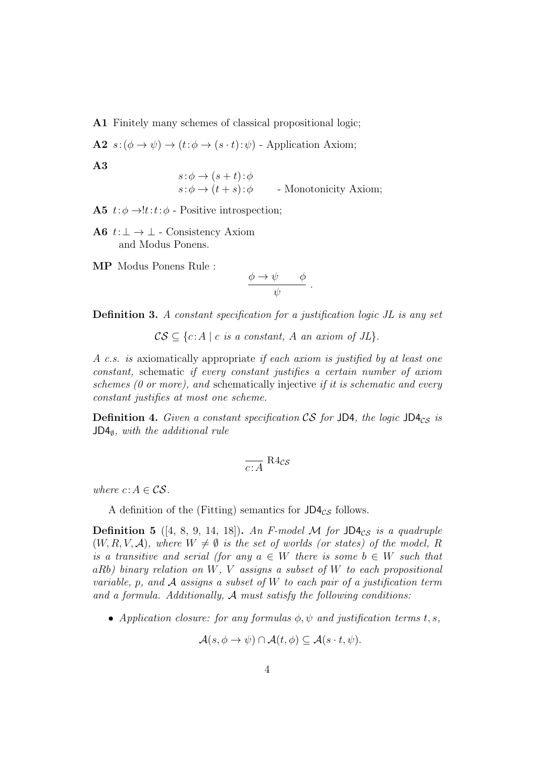A1 Finitely many schemes of classical propositional logic;

**A2**  $s: (\phi \rightarrow \psi) \rightarrow (t: \phi \rightarrow (s \cdot t): \psi)$  - Application Axiom;

$$
{\bf A3}
$$

$$
s: \phi \to (s+t): \phi
$$
  
\n
$$
s: \phi \to (t+s): \phi
$$
 - Monotonicity Axiom;

A5  $t:\phi \rightarrow !t:t:\phi$  - Positive introspection:

A6  $t:\perp \rightarrow \perp$  - Consistency Axiom and Modus Ponens.

MP Modus Ponens Rule :

$$
\frac{\phi \to \psi \qquad \phi}{\psi}
$$

.

Definition 3. *A constant specification for a justification logic JL is any set*

 $CS \subseteq \{c:A \mid c \text{ is a constant, } A \text{ an axiom of } JL\}.$ 

*A c.s. is* axiomatically appropriate *if each axiom is justified by at least one constant,* schematic *if every constant justifies a certain number of axiom schemes (0 or more), and* schematically injective *if it is schematic and every constant justifies at most one scheme.*

**Definition 4.** Given a constant specification CS for JD4, the logic JD4 $_{CS}$  is JD4∅*, with the additional rule*

$$
\frac{1}{c \colon A} \text{R} 4_{\mathcal{CS}}
$$

*where*  $c: A \in \mathcal{CS}$ *.* 

A definition of the (Fitting) semantics for  $J\Box A_{CS}$  follows.

**Definition 5** ([4, 8, 9, 14, 18]). An F-model M for  $JD4_{CS}$  is a quadruple  $(W, R, V, A)$ *, where*  $W \neq \emptyset$  *is the set of worlds (or states) of the model,* R *is a transitive and serial (for any*  $a \in W$  *there is some*  $b \in W$  *such that* aRb*) binary relation on* W*,* V *assigns a subset of* W *to each propositional variable,* p*, and* A *assigns a subset of* W *to each pair of a justification term and a formula. Additionally,* A *must satisfy the following conditions:*

• *Application closure: for any formulas*  $\phi, \psi$  *and justification terms t, s,* 

$$
\mathcal{A}(s, \phi \to \psi) \cap \mathcal{A}(t, \phi) \subseteq \mathcal{A}(s \cdot t, \psi).
$$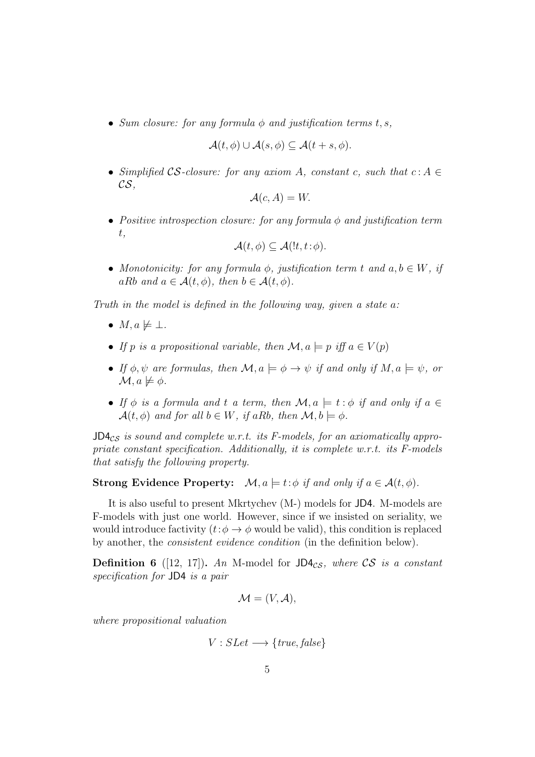• *Sum closure: for any formula*  $\phi$  *and justification terms t, s,* 

$$
\mathcal{A}(t,\phi) \cup \mathcal{A}(s,\phi) \subseteq \mathcal{A}(t+s,\phi).
$$

• *Simplified*  $\mathcal{CS}\text{-}closure:$  *for any axiom A, constant c, such that*  $c: A \in$ CS*,*

$$
\mathcal{A}(c, A) = W.
$$

• *Positive introspection closure: for any formula* φ *and justification term* t*,*

$$
\mathcal{A}(t,\phi) \subseteq \mathcal{A}(!t,t:\phi).
$$

• *Monotonicity: for any formula*  $\phi$ *, justification term t and a, b*  $\in$  *W, if* aRb and  $a \in \mathcal{A}(t, \phi)$ , then  $b \in \mathcal{A}(t, \phi)$ .

*Truth in the model is defined in the following way, given a state* a*:*

- $M, a \not\models \bot.$
- *If* p is a propositional variable, then  $\mathcal{M}, a \models p$  iff  $a \in V(p)$
- *If*  $\phi, \psi$  *are formulas, then*  $\mathcal{M}, a \models \phi \rightarrow \psi$  *if and only if*  $M, a \models \psi$ *, or*  $\mathcal{M}$ ,  $a \not\models \phi$ .
- If  $\phi$  *is a formula and* t *a term, then*  $\mathcal{M}, a \models t : \phi$  *if and only if*  $a \in$  $\mathcal{A}(t, \phi)$  *and for all*  $b \in W$ *, if aRb, then*  $\mathcal{M}, b \models \phi$ *.*

 $JD4_{CS}$  *is sound and complete w.r.t. its F-models, for an axiomatically appropriate constant specification. Additionally, it is complete w.r.t. its F-models that satisfy the following property.*

### Strong Evidence Property:  $\mathcal{M}, a \models t : \phi \text{ if and only if } a \in \mathcal{A}(t, \phi)$ .

It is also useful to present Mkrtychev (M-) models for JD4. M-models are F-models with just one world. However, since if we insisted on seriality, we would introduce factivity  $(t: \phi \rightarrow \phi$  would be valid), this condition is replaced by another, the *consistent evidence condition* (in the definition below).

**Definition 6** ([12, 17]). An M-model for  $JD4_{CS}$ , where CS is a constant *specification for* JD4 *is a pair*

$$
\mathcal{M} = (V, \mathcal{A}),
$$

*where propositional valuation*

$$
V: SLet \longrightarrow \{true, false\}
$$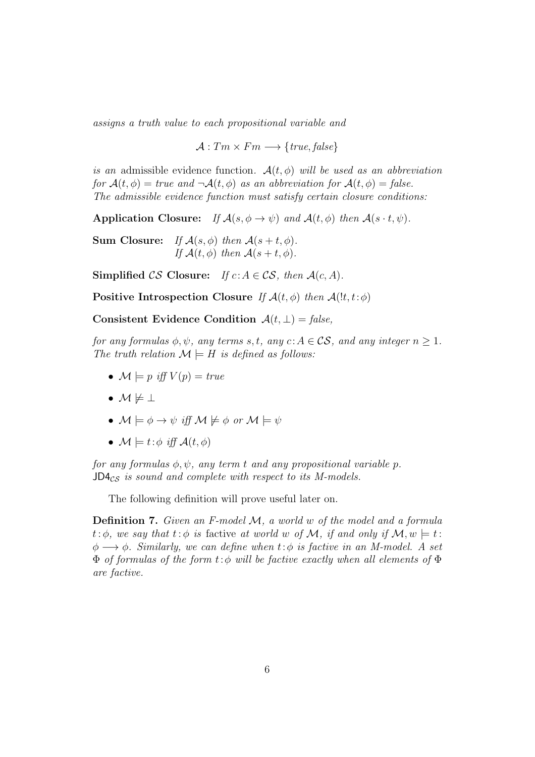*assigns a truth value to each propositional variable and*

 $\mathcal{A}: Tm \times Fm \longrightarrow \{ true, false \}$ 

*is an* admissible evidence function.  $A(t, \phi)$  *will be used as an abbreviation for*  $A(t, \phi) = true$  and  $\neg A(t, \phi)$  *as an abbreviation for*  $A(t, \phi) = false$ . *The admissible evidence function must satisfy certain closure conditions:*

Application Closure: *If*  $\mathcal{A}(s, \phi \to \psi)$  *and*  $\mathcal{A}(t, \phi)$  *then*  $\mathcal{A}(s \cdot t, \psi)$ *.* 

**Sum Closure:** *If*  $\mathcal{A}(s, \phi)$  *then*  $\mathcal{A}(s+t, \phi)$ *. If*  $\mathcal{A}(t, \phi)$  *then*  $\mathcal{A}(s+t, \phi)$ *.* 

Simplified  $\mathcal{CS}$  Closure: *If*  $c: A \in \mathcal{CS}$ , then  $\mathcal{A}(c, A)$ .

Positive Introspection Closure *If*  $\mathcal{A}(t, \phi)$  *then*  $\mathcal{A}(!t, t: \phi)$ 

Consistent Evidence Condition  $A(t, \perp) = false$ ,

*for any formulas*  $\phi, \psi$ *, any terms s, t, any*  $c: A \in \mathcal{CS}$ *, and any integer*  $n \geq 1$ *. The truth relation*  $\mathcal{M} \models H$  *is defined as follows:* 

- $\mathcal{M} \models p$  *iff*  $V(p) = true$
- $\bullet$   $\mathcal{M} \not\models \bot$
- $\mathcal{M} \models \phi \rightarrow \psi$  *iff*  $\mathcal{M} \not\models \phi$  or  $\mathcal{M} \models \psi$
- $\mathcal{M} \models t : \phi \text{ iff } \mathcal{A}(t, \phi)$

*for any formulas*  $\phi, \psi$ *, any term t and any propositional variable p.* JD4<sub>CS</sub> is sound and complete with respect to its M-models.

The following definition will prove useful later on.

Definition 7. *Given an F-model* M*, a world* w *of the model and a formula*  $t:\phi$ , we say that  $t:\phi$  is factive at world w of M, if and only if  $\mathcal{M}, w \models t$ : φ −→ φ*. Similarly, we can define when* t:φ *is factive in an M-model. A set* Φ *of formulas of the form* t:φ *will be factive exactly when all elements of* Φ *are factive.*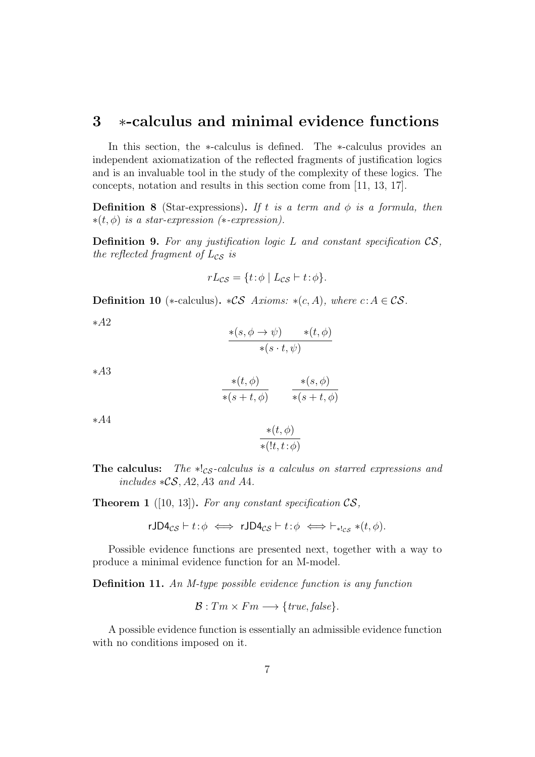## 3 ∗-calculus and minimal evidence functions

In this section, the ∗-calculus is defined. The ∗-calculus provides an independent axiomatization of the reflected fragments of justification logics and is an invaluable tool in the study of the complexity of these logics. The concepts, notation and results in this section come from [11, 13, 17].

**Definition 8** (Star-expressions). If t is a term and  $\phi$  is a formula, then ∗(t, φ) *is a star-expression (*∗*-expression).*

Definition 9. *For any justification logic* L *and constant specification* CS*, the reflected fragment of*  $L_{CS}$  *is* 

$$
rL_{\mathcal{CS}} = \{ t : \phi \mid L_{\mathcal{CS}} \vdash t : \phi \}.
$$

Definition 10 (\*-calculus). \* $\mathcal{CS}$  *Axioms:* \*(c, A), where c: A  $\in \mathcal{CS}$ .

∗A2

$$
\frac{\ast(s,\phi\to\psi)\qquad \ast(t,\phi)}{\ast(s\cdot t,\psi)}
$$

∗A3

$$
\frac{\ast(t,\phi)}{\ast(s+t,\phi)} \qquad \frac{\ast(s,\phi)}{\ast(s+t,\phi)}
$$

∗A4

$$
\frac{\ast(t,\phi)}{\ast(lt,t:\phi)}
$$

The calculus: *The* ∗!<sub>CS</sub>-calculus is a calculus on starred expressions and *includes* ∗CS, A2, A3 *and* A4*.*

Theorem 1 ([10, 13]). *For any constant specification* CS*,*

rJD4<sub>cs</sub> 
$$
\vdash t : \phi \iff rJD4_{cs} \vdash t : \phi \iff \vdash_{*!cs} * (t, \phi)
$$
.

Possible evidence functions are presented next, together with a way to produce a minimal evidence function for an M-model.

Definition 11. *An M-type possible evidence function is any function*

$$
\mathcal{B}: Tm \times Fm \longrightarrow \{true, false\}.
$$

A possible evidence function is essentially an admissible evidence function with no conditions imposed on it.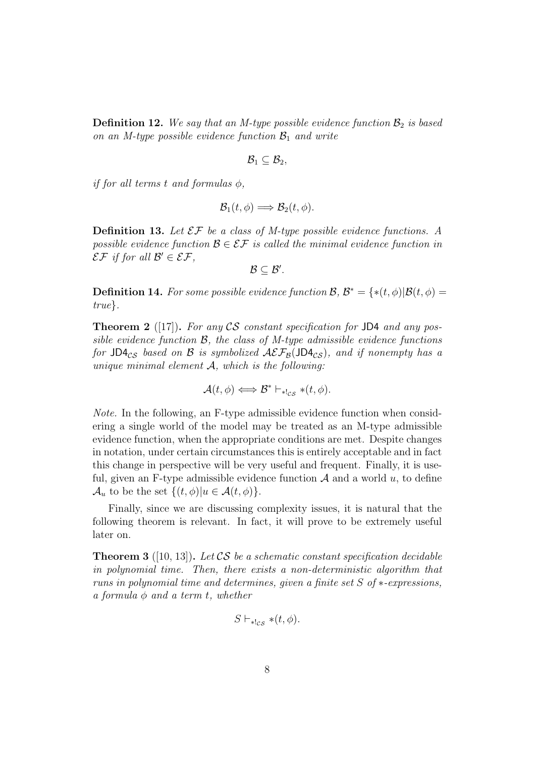**Definition 12.** We say that an M-type possible evidence function  $\mathcal{B}_2$  is based *on an M-type possible evidence function*  $\mathcal{B}_1$  *and write* 

$$
\mathcal{B}_1 \subseteq \mathcal{B}_2,
$$

*if for all terms* t *and formulas* φ*,*

$$
\mathcal{B}_1(t,\phi) \Longrightarrow \mathcal{B}_2(t,\phi).
$$

Definition 13. *Let* EF *be a class of M-type possible evidence functions. A possible evidence function*  $\mathcal{B} \in \mathcal{EF}$  *is called the minimal evidence function in*  $\mathcal{E}\mathcal{F}$  if for all  $\mathcal{B}' \in \mathcal{E}\mathcal{F}$ ,

 $\mathcal{B} \subseteq \mathcal{B}'$ .

**Definition 14.** For some possible evidence function  $\mathcal{B}, \mathcal{B}^* = \{*(t, \phi) | \mathcal{B}(t, \phi) =$ *true*}*.*

Theorem 2 ([17]). *For any* CS *constant specification for* JD4 *and any possible evidence function* B*, the class of M-type admissible evidence functions for* JD4<sub>CS</sub> based on B is symbolized  $\mathcal{A}\mathcal{E}\mathcal{F}_{\mathcal{B}}(\mathsf{JD4}_{CS})$ *, and if nonempty has a unique minimal element* A*, which is the following:*

$$
\mathcal{A}(t,\phi) \Longleftrightarrow \mathcal{B}^* \vdash_{*!cs} * (t,\phi).
$$

*Note.* In the following, an F-type admissible evidence function when considering a single world of the model may be treated as an M-type admissible evidence function, when the appropriate conditions are met. Despite changes in notation, under certain circumstances this is entirely acceptable and in fact this change in perspective will be very useful and frequent. Finally, it is useful, given an F-type admissible evidence function  $A$  and a world  $u$ , to define  $\mathcal{A}_u$  to be the set  $\{(t,\phi)|u\in\mathcal{A}(t,\phi)\}.$ 

Finally, since we are discussing complexity issues, it is natural that the following theorem is relevant. In fact, it will prove to be extremely useful later on.

Theorem 3 ([10, 13]). *Let* CS *be a schematic constant specification decidable in polynomial time. Then, there exists a non-deterministic algorithm that runs in polynomial time and determines, given a finite set* S *of* ∗*-expressions, a formula* φ *and a term* t*, whether*

$$
S \vdash_{*!cs} * (t, \phi).
$$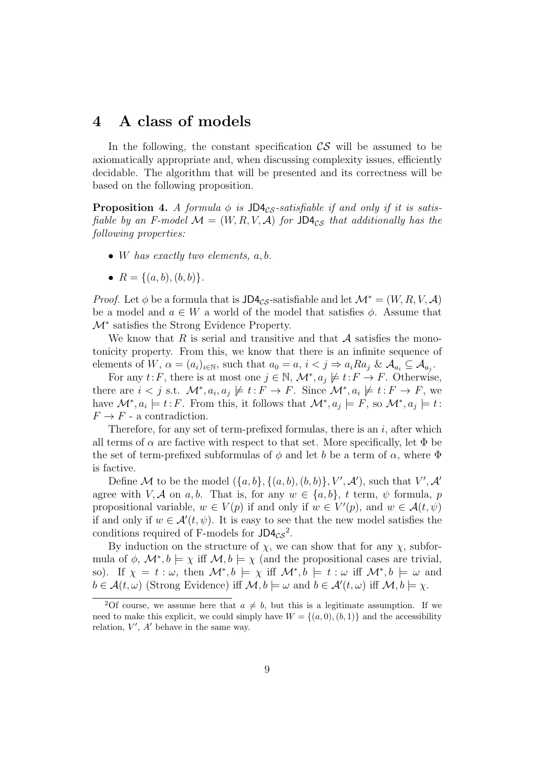## 4 A class of models

In the following, the constant specification  $\mathcal{CS}$  will be assumed to be axiomatically appropriate and, when discussing complexity issues, efficiently decidable. The algorithm that will be presented and its correctness will be based on the following proposition.

**Proposition 4.** *A formula*  $\phi$  *is* JD4 $_{CS}$ -satisfiable *if and only if it is satisfiable by an F-model*  $M = (W, R, V, A)$  *for* JD4<sub>CS</sub> *that additionally has the following properties:*

- W *has exactly two elements,* a, b*.*
- $R = \{(a, b), (b, b)\}.$

*Proof.* Let  $\phi$  be a formula that is JD4<sub>CS</sub>-satisfiable and let  $\mathcal{M}^* = (W, R, V, \mathcal{A})$ be a model and  $a \in W$  a world of the model that satisfies  $\phi$ . Assume that  $M^*$  satisfies the Strong Evidence Property.

We know that R is serial and transitive and that  $\mathcal A$  satisfies the monotonicity property. From this, we know that there is an infinite sequence of elements of W,  $\alpha = (a_i)_{i \in \mathbb{N}}$ , such that  $a_0 = a$ ,  $i < j \Rightarrow a_i Ra_j$  &  $\mathcal{A}_{a_i} \subseteq \mathcal{A}_{a_j}$ .

For any  $t: F$ , there is at most one  $j \in \mathbb{N}$ ,  $\mathcal{M}^*, a_j \not\models t: F \rightarrow F$ . Otherwise, there are  $i < j$  s.t.  $\mathcal{M}^*, a_i, a_j \not\models t : F \to F$ . Since  $\mathcal{M}^*, a_i \not\models t : F \to F$ , we have  $\mathcal{M}^*, a_i \models t : F$ . From this, it follows that  $\mathcal{M}^*, a_j \models F$ , so  $\mathcal{M}^*, a_j \models t$ :  $F \to F$  - a contradiction.

Therefore, for any set of term-prefixed formulas, there is an  $i$ , after which all terms of  $\alpha$  are factive with respect to that set. More specifically, let  $\Phi$  be the set of term-prefixed subformulas of  $\phi$  and let b be a term of  $\alpha$ , where  $\Phi$ is factive.

Define M to be the model  $(\{a, b\}, \{(a, b), (b, b)\}, V', \mathcal{A}')$ , such that  $V', \mathcal{A}'$ agree with V, A on a, b. That is, for any  $w \in \{a, b\}$ , t term,  $\psi$  formula, p propositional variable,  $w \in V(p)$  if and only if  $w \in V'(p)$ , and  $w \in \mathcal{A}(t, \psi)$ if and only if  $w \in \mathcal{A}'(t, \psi)$ . It is easy to see that the new model satisfies the conditions required of F-models for  $JDA_{CS}^2$ .

By induction on the structure of  $\chi$ , we can show that for any  $\chi$ , subformula of  $\phi$ ,  $\mathcal{M}^*, b \models \chi$  iff  $\mathcal{M}, b \models \chi$  (and the propositional cases are trivial, so). If  $\chi = t : \omega$ , then  $\mathcal{M}^*, b \models \chi$  iff  $\mathcal{M}^*, b \models t : \omega$  iff  $\mathcal{M}^*, b \models \omega$  and  $b \in \mathcal{A}(t, \omega)$  (Strong Evidence) iff  $\mathcal{M}, b \models \omega$  and  $b \in \mathcal{A}'(t, \omega)$  iff  $\mathcal{M}, b \models \chi$ .

<sup>&</sup>lt;sup>2</sup>Of course, we assume here that  $a \neq b$ , but this is a legitimate assumption. If we need to make this explicit, we could simply have  $W = \{(a, 0), (b, 1)\}\$ and the accessibility relation,  $V'$ ,  $A'$  behave in the same way.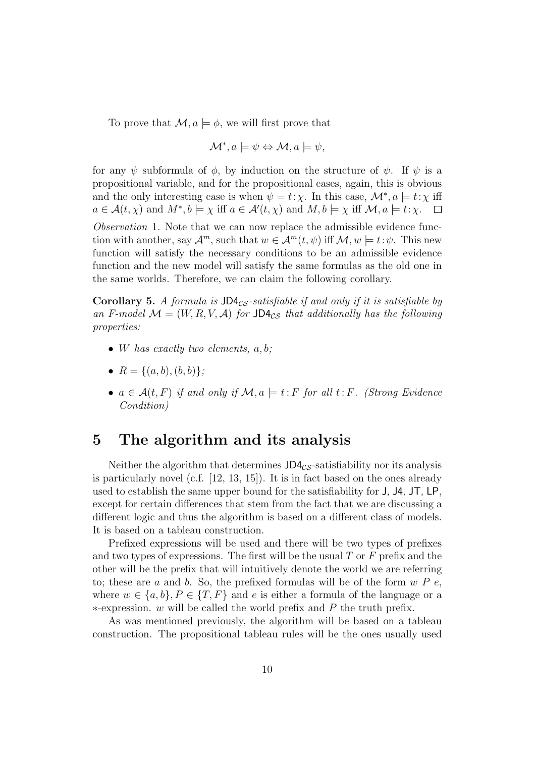To prove that  $\mathcal{M}, a \models \phi$ , we will first prove that

$$
\mathcal{M}^*, a \models \psi \Leftrightarrow \mathcal{M}, a \models \psi,
$$

for any  $\psi$  subformula of  $\phi$ , by induction on the structure of  $\psi$ . If  $\psi$  is a propositional variable, and for the propositional cases, again, this is obvious and the only interesting case is when  $\psi = t : \chi$ . In this case,  $\mathcal{M}^*, a \models t : \chi$  iff  $a \in \mathcal{A}(t, \chi)$  and  $M^*, b \models \chi$  iff  $a \in \mathcal{A}'(t, \chi)$  and  $M, b \models \chi$  iff  $\mathcal{M}, a \models t : \chi$ .  $\Box$ 

*Observation* 1*.* Note that we can now replace the admissible evidence function with another, say  $\mathcal{A}^m$ , such that  $w \in \mathcal{A}^m(t, \psi)$  iff  $\mathcal{M}, w \models t : \psi$ . This new function will satisfy the necessary conditions to be an admissible evidence function and the new model will satisfy the same formulas as the old one in the same worlds. Therefore, we can claim the following corollary.

Corollary 5. A formula is  $J\Box A_{CS}$ -satisfiable if and only if it is satisfiable by an F-model  $\mathcal{M} = (W, R, V, \mathcal{A})$  for JD4<sub>CS</sub> that additionally has the following *properties:*

- W *has exactly two elements,* a, b*;*
- $R = \{(a, b), (b, b)\}$ ;
- $a \in \mathcal{A}(t, F)$  *if and only if*  $\mathcal{M}, a \models t : F$  *for all*  $t : F$ *. (Strong Evidence Condition)*

## 5 The algorithm and its analysis

Neither the algorithm that determines  $J\Box A_{CS}$ -satisfiability nor its analysis is particularly novel (c.f. [12, 13, 15]). It is in fact based on the ones already used to establish the same upper bound for the satisfiability for J, J4, JT, LP, except for certain differences that stem from the fact that we are discussing a different logic and thus the algorithm is based on a different class of models. It is based on a tableau construction.

Prefixed expressions will be used and there will be two types of prefixes and two types of expressions. The first will be the usual  $T$  or  $F$  prefix and the other will be the prefix that will intuitively denote the world we are referring to; these are a and b. So, the prefixed formulas will be of the form  $w P e$ , where  $w \in \{a, b\}, P \in \{T, F\}$  and e is either a formula of the language or a ∗-expression. w will be called the world prefix and P the truth prefix.

As was mentioned previously, the algorithm will be based on a tableau construction. The propositional tableau rules will be the ones usually used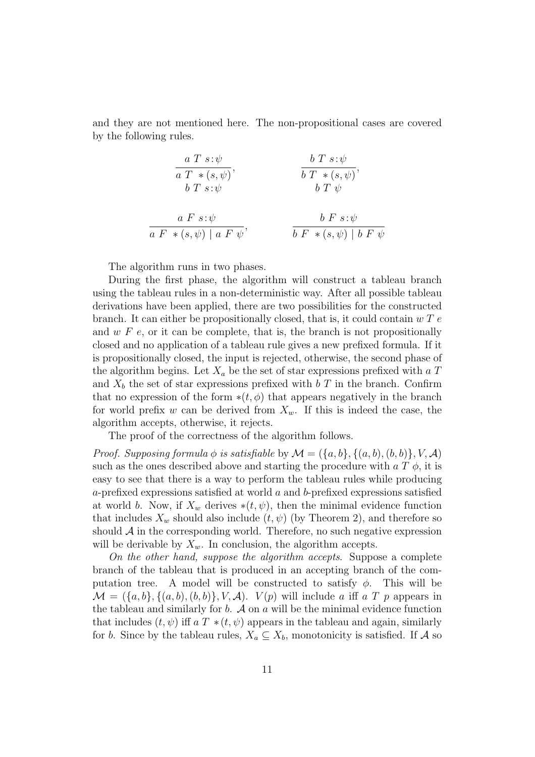and they are not mentioned here. The non-propositional cases are covered by the following rules.

$$
\frac{a T s:\psi}{a T * (s, \psi)}, \qquad \frac{b T s:\psi}{b T * (s, \psi)},
$$
  
\n
$$
\frac{a F s:\psi}{b T * (\psi)}, \qquad \frac{b T * (s, \psi)}{b T \psi},
$$
  
\n
$$
\frac{a F s:\psi}{a F * (s, \psi) | a F \psi}, \qquad \frac{b F s:\psi}{b F * (s, \psi) | b F \psi}
$$

The algorithm runs in two phases.

During the first phase, the algorithm will construct a tableau branch using the tableau rules in a non-deterministic way. After all possible tableau derivations have been applied, there are two possibilities for the constructed branch. It can either be propositionally closed, that is, it could contain  $w T e$ and  $w F e$ , or it can be complete, that is, the branch is not propositionally closed and no application of a tableau rule gives a new prefixed formula. If it is propositionally closed, the input is rejected, otherwise, the second phase of the algorithm begins. Let  $X_a$  be the set of star expressions prefixed with a T and  $X_b$  the set of star expressions prefixed with b T in the branch. Confirm that no expression of the form  $*(t, \phi)$  that appears negatively in the branch for world prefix w can be derived from  $X_w$ . If this is indeed the case, the algorithm accepts, otherwise, it rejects.

The proof of the correctness of the algorithm follows.

*Proof.* Supposing formula  $\phi$  is satisfiable by  $\mathcal{M} = (\{a, b\}, \{(a, b), (b, b)\}, V, \mathcal{A})$ such as the ones described above and starting the procedure with  $a T \phi$ , it is easy to see that there is a way to perform the tableau rules while producing a-prefixed expressions satisfied at world a and b-prefixed expressions satisfied at world b. Now, if  $X_w$  derives  $*(t, \psi)$ , then the minimal evidence function that includes  $X_w$  should also include  $(t, \psi)$  (by Theorem 2), and therefore so should  $\mathcal A$  in the corresponding world. Therefore, no such negative expression will be derivable by  $X_w$ . In conclusion, the algorithm accepts.

*On the other hand, suppose the algorithm accepts*. Suppose a complete branch of the tableau that is produced in an accepting branch of the computation tree. A model will be constructed to satisfy  $\phi$ . This will be  $\mathcal{M} = (\{a, b\}, \{(a, b), (b, b)\}, V, \mathcal{A})$ .  $V(p)$  will include a iff a T p appears in the tableau and similarly for  $b$ .  $\mathcal A$  on  $a$  will be the minimal evidence function that includes  $(t, \psi)$  iff  $a T * (t, \psi)$  appears in the tableau and again, similarly for b. Since by the tableau rules,  $X_a \subseteq X_b$ , monotonicity is satisfied. If A so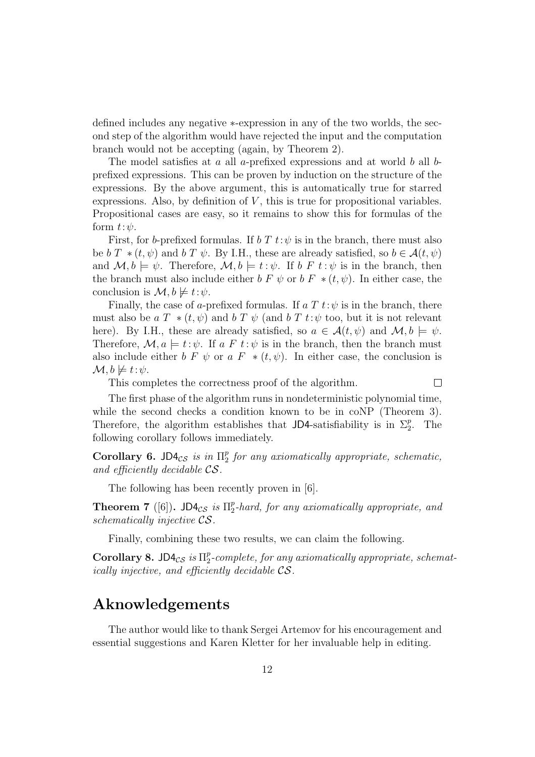defined includes any negative ∗-expression in any of the two worlds, the second step of the algorithm would have rejected the input and the computation branch would not be accepting (again, by Theorem 2).

The model satisfies at  $a$  all  $a$ -prefixed expressions and at world  $b$  all  $b$ prefixed expressions. This can be proven by induction on the structure of the expressions. By the above argument, this is automatically true for starred expressions. Also, by definition of  $V$ , this is true for propositional variables. Propositional cases are easy, so it remains to show this for formulas of the form  $t:\psi$ .

First, for b-prefixed formulas. If b T  $t:\psi$  is in the branch, there must also be b T  $*(t, \psi)$  and b T  $\psi$ . By I.H., these are already satisfied, so  $b \in \mathcal{A}(t, \psi)$ and  $\mathcal{M}, b \models \psi$ . Therefore,  $\mathcal{M}, b \models t : \psi$ . If  $b \notin t : \psi$  is in the branch, then the branch must also include either  $b F \psi$  or  $b F * (t, \psi)$ . In either case, the conclusion is  $\mathcal{M}, b \not\models t:\psi$ .

Finally, the case of a-prefixed formulas. If a T  $t:\psi$  is in the branch, there must also be a  $T^*$  (t,  $\psi$ ) and b  $T \psi$  (and b  $T t: \psi$  too, but it is not relevant here). By I.H., these are already satisfied, so  $a \in \mathcal{A}(t, \psi)$  and  $\mathcal{M}, b \models \psi$ . Therefore,  $\mathcal{M}, a \models t : \psi$ . If a F t:  $\psi$  is in the branch, then the branch must also include either b F  $\psi$  or a F  $*(t, \psi)$ . In either case, the conclusion is  $\mathcal{M}, b \not\models t:\psi.$ 

This completes the correctness proof of the algorithm.

 $\Box$ 

The first phase of the algorithm runs in nondeterministic polynomial time, while the second checks a condition known to be in coNP (Theorem 3). Therefore, the algorithm establishes that JD4-satisfiability is in  $\Sigma_2^p$ . The following corollary follows immediately.

Corollary 6. JD4 $_{CS}$  is in  $\Pi_2^p$  for any axiomatically appropriate, schematic, *and efficiently decidable* CS*.*

The following has been recently proven in [6].

**Theorem 7** ([6]). JD4 $_{CS}$  is  $\Pi_2^p$ -hard, for any axiomatically appropriate, and *schematically injective* CS*.*

Finally, combining these two results, we can claim the following.

Corollary 8. JD4 $_{CS}$  is  $\Pi_2^p$ -complete, for any axiomatically appropriate, schemat*ically injective, and efficiently decidable* CS*.*

## Aknowledgements

The author would like to thank Sergei Artemov for his encouragement and essential suggestions and Karen Kletter for her invaluable help in editing.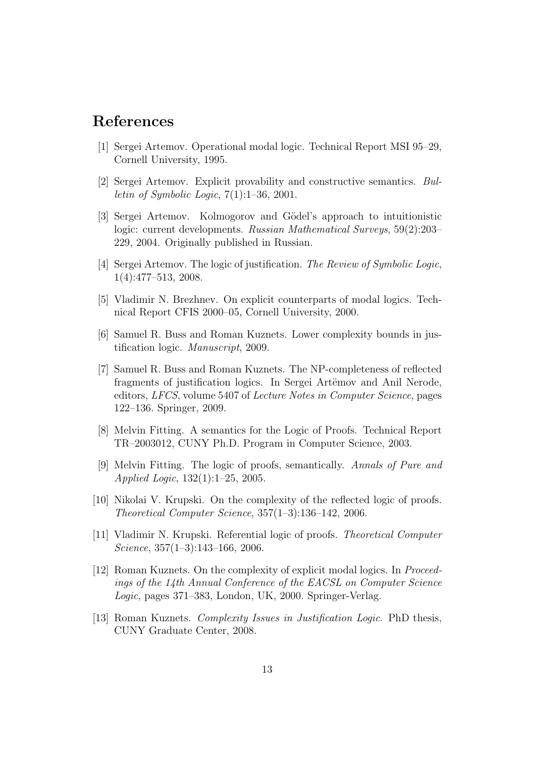## References

- [1] Sergei Artemov. Operational modal logic. Technical Report MSI 95–29, Cornell University, 1995.
- [2] Sergei Artemov. Explicit provability and constructive semantics. *Bulletin of Symbolic Logic*, 7(1):1–36, 2001.
- [3] Sergei Artemov. Kolmogorov and Gödel's approach to intuitionistic logic: current developments. *Russian Mathematical Surveys*, 59(2):203– 229, 2004. Originally published in Russian.
- [4] Sergei Artemov. The logic of justification. *The Review of Symbolic Logic*, 1(4):477–513, 2008.
- [5] Vladimir N. Brezhnev. On explicit counterparts of modal logics. Technical Report CFIS 2000–05, Cornell University, 2000.
- [6] Samuel R. Buss and Roman Kuznets. Lower complexity bounds in justification logic. *Manuscript*, 2009.
- [7] Samuel R. Buss and Roman Kuznets. The NP-completeness of reflected fragments of justification logics. In Sergei Artëmov and Anil Nerode, editors, *LFCS*, volume 5407 of *Lecture Notes in Computer Science*, pages 122–136. Springer, 2009.
- [8] Melvin Fitting. A semantics for the Logic of Proofs. Technical Report TR–2003012, CUNY Ph.D. Program in Computer Science, 2003.
- [9] Melvin Fitting. The logic of proofs, semantically. *Annals of Pure and Applied Logic*, 132(1):1–25, 2005.
- [10] Nikolai V. Krupski. On the complexity of the reflected logic of proofs. *Theoretical Computer Science*, 357(1–3):136–142, 2006.
- [11] Vladimir N. Krupski. Referential logic of proofs. *Theoretical Computer Science*, 357(1–3):143–166, 2006.
- [12] Roman Kuznets. On the complexity of explicit modal logics. In *Proceedings of the 14th Annual Conference of the EACSL on Computer Science Logic*, pages 371–383, London, UK, 2000. Springer-Verlag.
- [13] Roman Kuznets. *Complexity Issues in Justification Logic*. PhD thesis, CUNY Graduate Center, 2008.